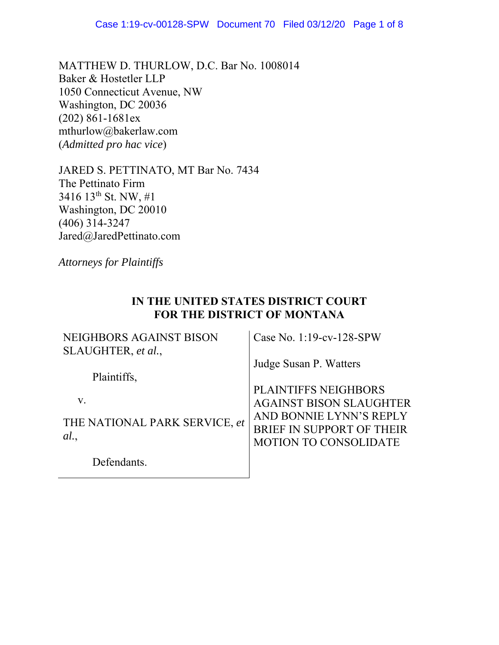MATTHEW D. THURLOW, D.C. Bar No. 1008014 Baker & Hostetler LLP 1050 Connecticut Avenue, NW Washington, DC 20036 (202) 861-1681ex mthurlow@bakerlaw.com (*Admitted pro hac vice*)

JARED S. PETTINATO, MT Bar No. 7434 The Pettinato Firm 3416 13th St. NW, #1 Washington, DC 20010 (406) 314-3247 Jared@JaredPettinato.com

*Attorneys for Plaintiffs*

# **IN THE UNITED STATES DISTRICT COURT FOR THE DISTRICT OF MONTANA**

| NEIGHBORS AGAINST BISON<br>SLAUGHTER, et al.,       | Case No. 1:19-cv-128-SPW                                                                                                                       |
|-----------------------------------------------------|------------------------------------------------------------------------------------------------------------------------------------------------|
| Plaintiffs,                                         | Judge Susan P. Watters                                                                                                                         |
| $V_{\rm r}$<br>THE NATIONAL PARK SERVICE, et<br>al. | PLAINTIFFS NEIGHBORS<br><b>AGAINST BISON SLAUGHTER</b><br>AND BONNIE LYNN'S REPLY<br>BRIEF IN SUPPORT OF THEIR<br><b>MOTION TO CONSOLIDATE</b> |
| Defendants.                                         |                                                                                                                                                |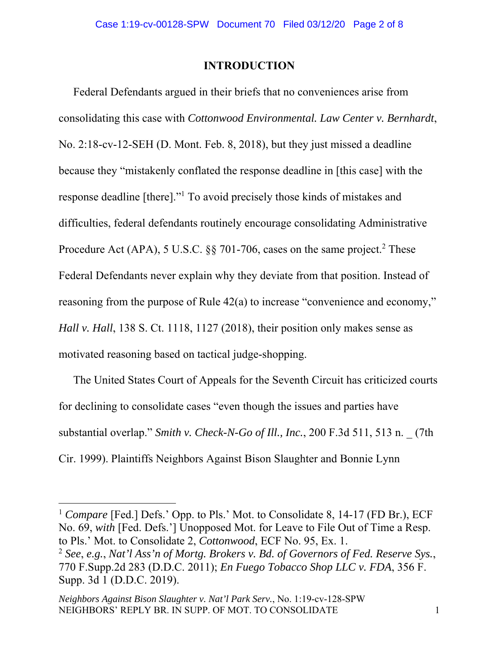### **INTRODUCTION**

Federal Defendants argued in their briefs that no conveniences arise from consolidating this case with *Cottonwood Environmental. Law Center v. Bernhardt*, No. 2:18-cv-12-SEH (D. Mont. Feb. 8, 2018), but they just missed a deadline because they "mistakenly conflated the response deadline in [this case] with the response deadline [there]."<sup>1</sup> To avoid precisely those kinds of mistakes and difficulties, federal defendants routinely encourage consolidating Administrative Procedure Act (APA), 5 U.S.C.  $\S$  701-706, cases on the same project.<sup>2</sup> These Federal Defendants never explain why they deviate from that position. Instead of reasoning from the purpose of Rule 42(a) to increase "convenience and economy," *Hall v. Hall*, 138 S. Ct. 1118, 1127 (2018), their position only makes sense as motivated reasoning based on tactical judge-shopping.

The United States Court of Appeals for the Seventh Circuit has criticized courts for declining to consolidate cases "even though the issues and parties have substantial overlap." *Smith v. Check-N-Go of Ill., Inc.*, 200 F.3d 511, 513 n. \_ (7th Cir. 1999). Plaintiffs Neighbors Against Bison Slaughter and Bonnie Lynn

<sup>1</sup> *Compare* [Fed.] Defs.' Opp. to Pls.' Mot. to Consolidate 8, 14-17 (FD Br.), ECF No. 69, *with* [Fed. Defs.'] Unopposed Mot. for Leave to File Out of Time a Resp. to Pls.' Mot. to Consolidate 2, *Cottonwood*, ECF No. 95, Ex. 1.

<sup>2</sup> *See*, *e.g.*, *Nat'l Ass'n of Mortg. Brokers v. Bd. of Governors of Fed. Reserve Sys.*, 770 F.Supp.2d 283 (D.D.C. 2011); *En Fuego Tobacco Shop LLC v. FDA*, 356 F. Supp. 3d 1 (D.D.C. 2019).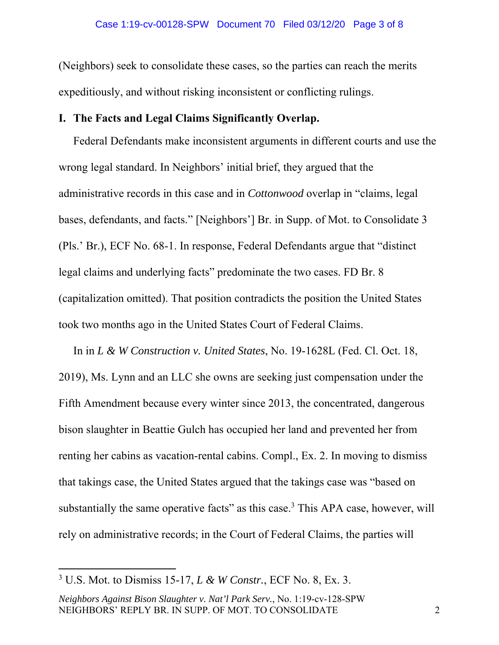(Neighbors) seek to consolidate these cases, so the parties can reach the merits expeditiously, and without risking inconsistent or conflicting rulings.

## **I. The Facts and Legal Claims Significantly Overlap.**

Federal Defendants make inconsistent arguments in different courts and use the wrong legal standard. In Neighbors' initial brief, they argued that the administrative records in this case and in *Cottonwood* overlap in "claims, legal bases, defendants, and facts." [Neighbors'] Br. in Supp. of Mot. to Consolidate 3 (Pls.' Br.), ECF No. 68-1. In response, Federal Defendants argue that "distinct legal claims and underlying facts" predominate the two cases. FD Br. 8 (capitalization omitted). That position contradicts the position the United States took two months ago in the United States Court of Federal Claims.

In in *L & W Construction v. United States*, No. 19-1628L (Fed. Cl. Oct. 18, 2019), Ms. Lynn and an LLC she owns are seeking just compensation under the Fifth Amendment because every winter since 2013, the concentrated, dangerous bison slaughter in Beattie Gulch has occupied her land and prevented her from renting her cabins as vacation-rental cabins. Compl., Ex. 2. In moving to dismiss that takings case, the United States argued that the takings case was "based on substantially the same operative facts" as this case.<sup>3</sup> This APA case, however, will rely on administrative records; in the Court of Federal Claims, the parties will

<sup>3</sup> U.S. Mot. to Dismiss 15-17, *L & W Constr.*, ECF No. 8, Ex. 3.

*Neighbors Against Bison Slaughter v. Nat'l Park Serv.*, No. 1:19-cv-128-SPW NEIGHBORS' REPLY BR. IN SUPP. OF MOT. TO CONSOLIDATE 2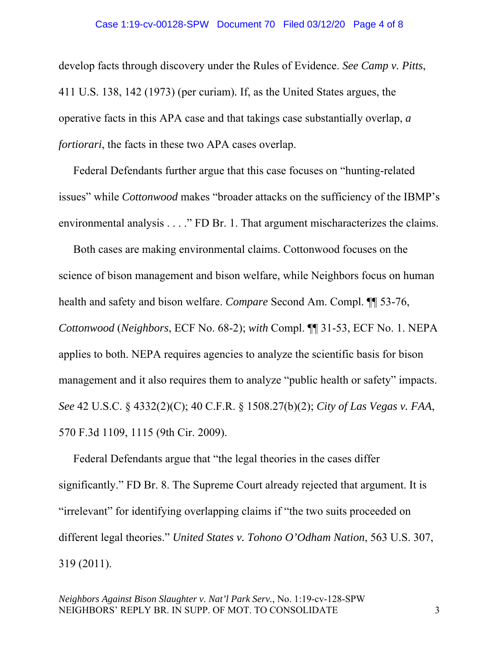#### Case 1:19-cv-00128-SPW Document 70 Filed 03/12/20 Page 4 of 8

develop facts through discovery under the Rules of Evidence. *See Camp v. Pitts*, 411 U.S. 138, 142 (1973) (per curiam)*.* If, as the United States argues, the operative facts in this APA case and that takings case substantially overlap, *a fortiorari*, the facts in these two APA cases overlap.

Federal Defendants further argue that this case focuses on "hunting-related issues" while *Cottonwood* makes "broader attacks on the sufficiency of the IBMP's environmental analysis . . . ." FD Br. 1. That argument mischaracterizes the claims.

Both cases are making environmental claims. Cottonwood focuses on the science of bison management and bison welfare, while Neighbors focus on human health and safety and bison welfare. *Compare* Second Am. Compl. ¶¶ 53-76, *Cottonwood* (*Neighbors*, ECF No. 68-2); *with* Compl. ¶¶ 31-53, ECF No. 1. NEPA applies to both. NEPA requires agencies to analyze the scientific basis for bison management and it also requires them to analyze "public health or safety" impacts. *See* 42 U.S.C. § 4332(2)(C); 40 C.F.R. § 1508.27(b)(2); *City of Las Vegas v. FAA*, 570 F.3d 1109, 1115 (9th Cir. 2009).

Federal Defendants argue that "the legal theories in the cases differ significantly." FD Br. 8. The Supreme Court already rejected that argument. It is "irrelevant" for identifying overlapping claims if "the two suits proceeded on different legal theories." *United States v. Tohono O'Odham Nation*, 563 U.S. 307, 319 (2011).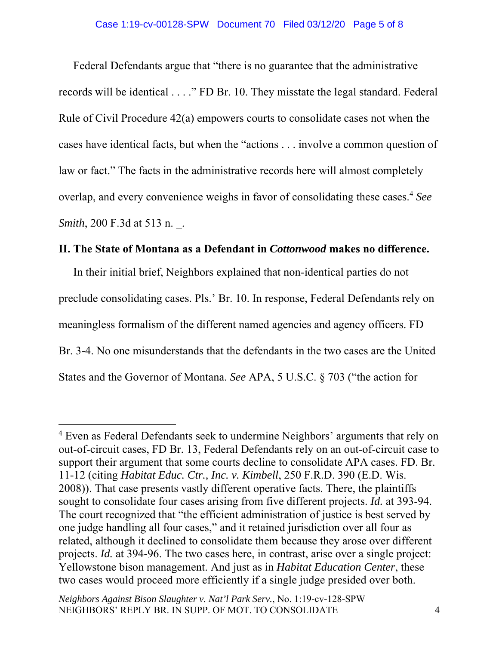Federal Defendants argue that "there is no guarantee that the administrative records will be identical . . . ." FD Br. 10. They misstate the legal standard. Federal Rule of Civil Procedure 42(a) empowers courts to consolidate cases not when the cases have identical facts, but when the "actions . . . involve a common question of law or fact." The facts in the administrative records here will almost completely overlap, and every convenience weighs in favor of consolidating these cases.4 *See Smith*, 200 F.3d at 513 n. .

## **II. The State of Montana as a Defendant in** *Cottonwood* **makes no difference.**

In their initial brief, Neighbors explained that non-identical parties do not preclude consolidating cases. Pls.' Br. 10. In response, Federal Defendants rely on meaningless formalism of the different named agencies and agency officers. FD Br. 3-4. No one misunderstands that the defendants in the two cases are the United States and the Governor of Montana. *See* APA, 5 U.S.C. § 703 ("the action for

<sup>&</sup>lt;sup>4</sup> Even as Federal Defendants seek to undermine Neighbors' arguments that rely on out-of-circuit cases, FD Br. 13, Federal Defendants rely on an out-of-circuit case to support their argument that some courts decline to consolidate APA cases. FD. Br. 11-12 (citing *Habitat Educ. Ctr., Inc. v. Kimbell*, 250 F.R.D. 390 (E.D. Wis. 2008)). That case presents vastly different operative facts. There, the plaintiffs sought to consolidate four cases arising from five different projects. *Id.* at 393-94. The court recognized that "the efficient administration of justice is best served by one judge handling all four cases," and it retained jurisdiction over all four as related, although it declined to consolidate them because they arose over different projects. *Id.* at 394-96. The two cases here, in contrast, arise over a single project: Yellowstone bison management. And just as in *Habitat Education Center*, these two cases would proceed more efficiently if a single judge presided over both.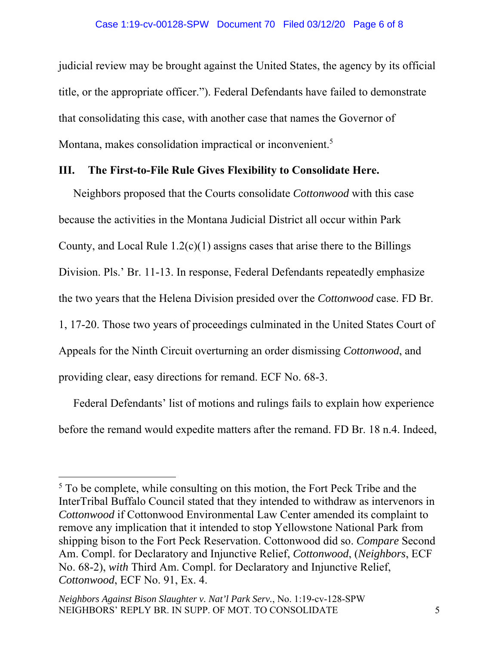#### Case 1:19-cv-00128-SPW Document 70 Filed 03/12/20 Page 6 of 8

judicial review may be brought against the United States, the agency by its official title, or the appropriate officer."). Federal Defendants have failed to demonstrate that consolidating this case, with another case that names the Governor of Montana, makes consolidation impractical or inconvenient.<sup>5</sup>

### **III. The First-to-File Rule Gives Flexibility to Consolidate Here.**

Neighbors proposed that the Courts consolidate *Cottonwood* with this case because the activities in the Montana Judicial District all occur within Park County, and Local Rule  $1.2(c)(1)$  assigns cases that arise there to the Billings Division. Pls.' Br. 11-13. In response, Federal Defendants repeatedly emphasize the two years that the Helena Division presided over the *Cottonwood* case. FD Br. 1, 17-20. Those two years of proceedings culminated in the United States Court of Appeals for the Ninth Circuit overturning an order dismissing *Cottonwood*, and providing clear, easy directions for remand. ECF No. 68-3.

Federal Defendants' list of motions and rulings fails to explain how experience before the remand would expedite matters after the remand. FD Br. 18 n.4. Indeed,

<sup>&</sup>lt;sup>5</sup> To be complete, while consulting on this motion, the Fort Peck Tribe and the InterTribal Buffalo Council stated that they intended to withdraw as intervenors in *Cottonwood* if Cottonwood Environmental Law Center amended its complaint to remove any implication that it intended to stop Yellowstone National Park from shipping bison to the Fort Peck Reservation. Cottonwood did so. *Compare* Second Am. Compl. for Declaratory and Injunctive Relief, *Cottonwood*, (*Neighbors*, ECF No. 68-2), *with* Third Am. Compl. for Declaratory and Injunctive Relief, *Cottonwood*, ECF No. 91, Ex. 4.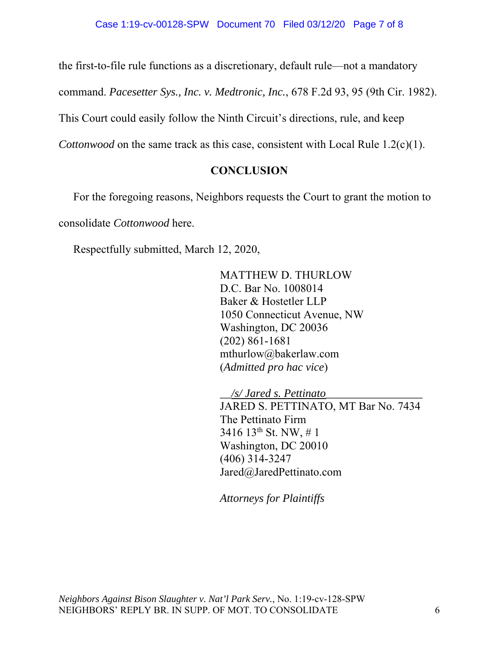the first-to-file rule functions as a discretionary, default rule—not a mandatory

command. *Pacesetter Sys., Inc. v. Medtronic, Inc.*, 678 F.2d 93, 95 (9th Cir. 1982).

This Court could easily follow the Ninth Circuit's directions, rule, and keep

*Cottonwood* on the same track as this case, consistent with Local Rule 1.2(c)(1).

## **CONCLUSION**

 For the foregoing reasons, Neighbors requests the Court to grant the motion to consolidate *Cottonwood* here.

Respectfully submitted, March 12, 2020,

MATTHEW D. THURLOW D.C. Bar No. 1008014 Baker & Hostetler LLP 1050 Connecticut Avenue, NW Washington, DC 20036 (202) 861-1681 mthurlow@bakerlaw.com (*Admitted pro hac vice*)

*\_\_/s/ Jared s. Pettinato\_\_\_\_\_\_\_\_\_\_\_\_\_\_\_\_\_*  JARED S. PETTINATO, MT Bar No. 7434 The Pettinato Firm 3416 13th St. NW, # 1 Washington, DC 20010 (406) 314-3247 Jared@JaredPettinato.com

*Attorneys for Plaintiffs*